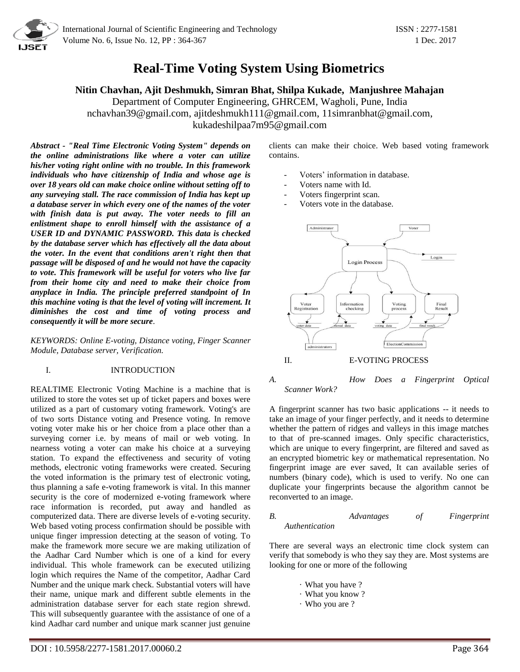

# **Real-Time Voting System Using Biometrics**

**Nitin Chavhan, Ajit Deshmukh, Simran Bhat, Shilpa Kukade, Manjushree Mahajan**

Department of Computer Engineering, GHRCEM, Wagholi, Pune, India [nchavhan39@gmail.com,](mailto:nchavhan39@gmail.com) [ajitdeshmukh111@gmail.com,](mailto:ajitdeshmukh111@gmail.com) [11simranbhat@gmail.com,](mailto:11simranbhat@gmail.com) [kukadeshilpaa7m95@gmail.com](mailto:kukadeshilpaa7m95@gmail.com)

*Abstract - "Real Time Electronic Voting System" depends on the online administrations like where a voter can utilize his/her voting right online with no trouble. In this framework individuals who have citizenship of India and whose age is over 18 years old can make choice online without setting off to any surveying stall. The race commission of India has kept up a database server in which every one of the names of the voter with finish data is put away. The voter needs to fill an enlistment shape to enroll himself with the assistance of a USER ID and DYNAMIC PASSWORD. This data is checked by the database server which has effectively all the data about the voter. In the event that conditions aren't right then that passage will be disposed of and he would not have the capacity to vote. This framework will be useful for voters who live far from their home city and need to make their choice from anyplace in India. The principle preferred standpoint of In this machine voting is that the level of voting will increment. It diminishes the cost and time of voting process and consequently it will be more secure*.

*KEYWORDS: Online E-voting, Distance voting, Finger Scanner Module, Database server, Verification.*

# I. INTRODUCTION

REALTIME Electronic Voting Machine is a machine that is utilized to store the votes set up of ticket papers and boxes were utilized as a part of customary voting framework. Voting's are of two sorts Distance voting and Presence voting. In remove voting voter make his or her choice from a place other than a surveying corner i.e. by means of mail or web voting. In nearness voting a voter can make his choice at a surveying station. To expand the effectiveness and security of voting methods, electronic voting frameworks were created. Securing the voted information is the primary test of electronic voting, thus planning a safe e-voting framework is vital. In this manner security is the core of modernized e-voting framework where race information is recorded, put away and handled as computerized data. There are diverse levels of e-voting security. Web based voting process confirmation should be possible with unique finger impression detecting at the season of voting. To make the framework more secure we are making utilization of the Aadhar Card Number which is one of a kind for every individual. This whole framework can be executed utilizing login which requires the Name of the competitor, Aadhar Card Number and the unique mark check. Substantial voters will have their name, unique mark and different subtle elements in the administration database server for each state region shrewd. This will subsequently guarantee with the assistance of one of a kind Aadhar card number and unique mark scanner just genuine

clients can make their choice. Web based voting framework contains.

- Voters' information in database.
- Voters name with Id.
- Voters fingerprint scan.
- Voters vote in the database.



II. E-VOTING PROCESS

*A. How Does a Fingerprint Optical Scanner Work?*

A fingerprint scanner has two basic applications -- it needs to take an image of your finger perfectly, and it needs to determine whether the pattern of ridges and valleys in this image matches to that of pre-scanned images. Only specific characteristics, which are unique to every fingerprint, are filtered and saved as an encrypted biometric key or mathematical representation. No fingerprint image are ever saved, It can available series of numbers (binary code), which is used to verify. No one can duplicate your fingerprints because the algorithm cannot be reconverted to an image.

### *B. Advantages of Fingerprint Authentication*

There are several ways an electronic time clock system can verify that somebody is who they say they are. Most systems are looking for one or more of the following

- · What you have ?
- · What you know ?
- · Who you are ?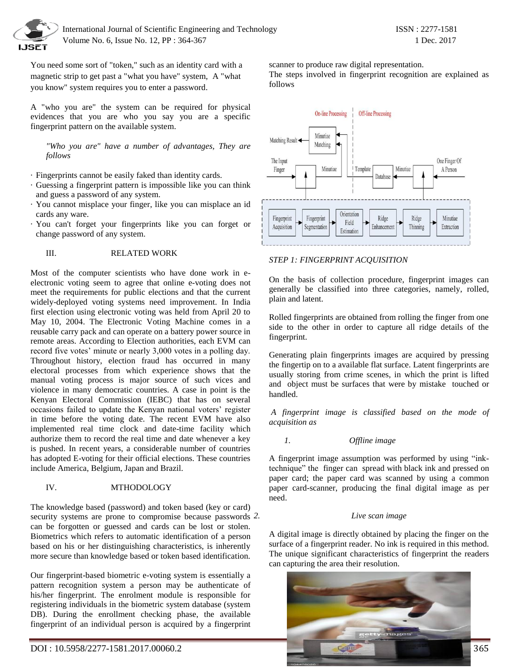

You need some sort of "token," such as an identity card with a magnetic strip to get past a "what you have" system, A "what you know" system requires you to enter a password.

A "who you are" the system can be required for physical evidences that you are who you say you are a specific fingerprint pattern on the available system.

*"Who you are" have a number of advantages, They are follows*

· Fingerprints cannot be easily faked than identity cards.

- · Guessing a fingerprint pattern is impossible like you can think and guess a password of any system.
- · You cannot misplace your finger, like you can misplace an id cards any ware.
- · You can't forget your fingerprints like you can forget or change password of any system.

# III. RELATED WORK

Most of the computer scientists who have done work in eelectronic voting seem to agree that online e-voting does not meet the requirements for public elections and that the current widely-deployed voting systems need improvement. In India first election using electronic voting was held from April 20 to May 10, 2004. The Electronic Voting Machine comes in a reusable carry pack and can operate on a battery power source in remote areas. According to Election authorities, each EVM can record five votes' minute or nearly 3,000 votes in a polling day. Throughout history, election fraud has occurred in many electoral processes from which experience shows that the manual voting process is major source of such vices and violence in many democratic countries. A case in point is the Kenyan Electoral Commission (IEBC) that has on several occasions failed to update the Kenyan national voters' register in time before the voting date. The recent EVM have also implemented real time clock and date-time facility which authorize them to record the real time and date whenever a key is pushed. In recent years, a considerable number of countries has adopted E-voting for their official elections. These countries include America, Belgium, Japan and Brazil.

## IV. MTHODOLOGY

The knowledge based (password) and token based (key or card) security systems are prone to compromise because passwords 2. can be forgotten or guessed and cards can be lost or stolen. Biometrics which refers to automatic identification of a person based on his or her distinguishing characteristics, is inherently more secure than knowledge based or token based identification.

Our fingerprint-based biometric e-voting system is essentially a pattern recognition system a person may be authenticate of his/her fingerprint. The enrolment module is responsible for registering individuals in the biometric system database (system DB). During the enrollment checking phase, the available fingerprint of an individual person is acquired by a fingerprint

scanner to produce raw digital representation.

The steps involved in fingerprint recognition are explained as follows



# *STEP 1: FINGERPRINT ACQUISITION*

On the basis of collection procedure, fingerprint images can generally be classified into three categories, namely, rolled, plain and latent.

Rolled fingerprints are obtained from rolling the finger from one side to the other in order to capture all ridge details of the fingerprint.

Generating plain fingerprints images are acquired by pressing the fingertip on to a available flat surface. Latent fingerprints are usually storing from crime scenes, in which the print is lifted and object must be surfaces that were by mistake touched or handled.

*A fingerprint image is classified based on the mode of acquisition as*

## *1. Offline image*

A fingerprint image assumption was performed by using "inktechnique" the finger can spread with black ink and pressed on paper card; the paper card was scanned by using a common paper card-scanner, producing the final digital image as per need.

## *2. Live scan image*

A digital image is directly obtained by placing the finger on the surface of a fingerprint reader. No ink is required in this method. The unique significant characteristics of fingerprint the readers can capturing the area their resolution.

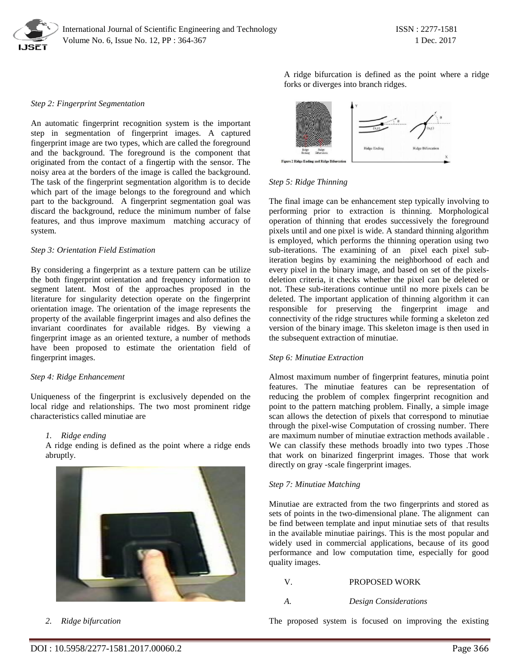

#### *Step 2: Fingerprint Segmentation*

An automatic fingerprint recognition system is the important step in segmentation of fingerprint images. A captured fingerprint image are two types, which are called the foreground and the background. The foreground is the component that originated from the contact of a fingertip with the sensor. The noisy area at the borders of the image is called the background. The task of the fingerprint segmentation algorithm is to decide which part of the image belongs to the foreground and which part to the background. A fingerprint segmentation goal was discard the background, reduce the minimum number of false features, and thus improve maximum matching accuracy of system.

#### *Step 3: Orientation Field Estimation*

By considering a fingerprint as a texture pattern can be utilize the both fingerprint orientation and frequency information to segment latent. Most of the approaches proposed in the literature for singularity detection operate on the fingerprint orientation image. The orientation of the image represents the property of the available fingerprint images and also defines the invariant coordinates for available ridges. By viewing a fingerprint image as an oriented texture, a number of methods have been proposed to estimate the orientation field of fingerprint images.

#### *Step 4: Ridge Enhancement*

Uniqueness of the fingerprint is exclusively depended on the local ridge and relationships. The two most prominent ridge characteristics called minutiae are

#### *1. Ridge ending*

A ridge ending is defined as the point where a ridge ends abruptly.



*2. Ridge bifurcation*

A ridge bifurcation is defined as the point where a ridge forks or diverges into branch ridges.



#### *Step 5: Ridge Thinning*

The final image can be enhancement step typically involving to performing prior to extraction is thinning. Morphological operation of thinning that erodes successively the foreground pixels until and one pixel is wide. A standard thinning algorithm is employed, which performs the thinning operation using two sub-iterations. The examining of an pixel each pixel subiteration begins by examining the neighborhood of each and every pixel in the binary image, and based on set of the pixelsdeletion criteria, it checks whether the pixel can be deleted or not. These sub-iterations continue until no more pixels can be deleted. The important application of thinning algorithm it can responsible for preserving the fingerprint image and connectivity of the ridge structures while forming a skeleton zed version of the binary image. This skeleton image is then used in the subsequent extraction of minutiae.

#### *Step 6: Minutiae Extraction*

Almost maximum number of fingerprint features, minutia point features. The minutiae features can be representation of reducing the problem of complex fingerprint recognition and point to the pattern matching problem. Finally, a simple image scan allows the detection of pixels that correspond to minutiae through the pixel-wise Computation of crossing number. There are maximum number of minutiae extraction methods available . We can classify these methods broadly into two types .Those that work on binarized fingerprint images. Those that work directly on gray -scale fingerprint images.

#### *Step 7: Minutiae Matching*

Minutiae are extracted from the two fingerprints and stored as sets of points in the two-dimensional plane. The alignment can be find between template and input minutiae sets of that results in the available minutiae pairings. This is the most popular and widely used in commercial applications, because of its good performance and low computation time, especially for good quality images.

#### V. PROPOSED WORK

#### *A. Design Considerations*

The proposed system is focused on improving the existing